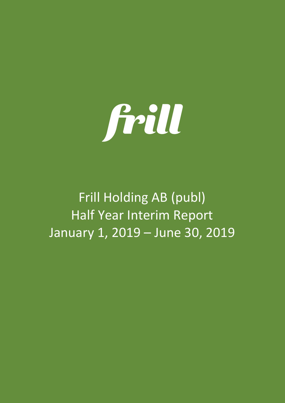

# Frill Holding AB (publ) Half Year Interim Report January 1, 2019 – June 30, 2019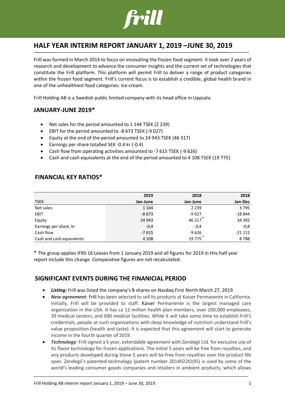

# **HALF YEAR INTERIM REPORT JANUARY 1, 2019 –JUNE 30, 2019**

Frill was formed in March 2014 to focus on innovating the frozen food segment. It took over 2 years of research and development to advance the consumer insights and the current set of technologies that constitute the Frill platform. This platform will permit Frill to deliver a range of product categories within the frozen food segment. Frill's current focus is to establish a credible, global health brand in one of the unhealthiest food categories: Ice-cream.

Frill Holding AB is a Swedish public limited company with its head office in Uppsala.

# **JANUARY-JUNE 2019\***

- Net sales for the period amounted to 1 144 TSEK (2 239)
- EBIT for the period amounted to -8 673 TSEK (-9 027)
- Equity at the end of the period amounted to 24 943 TSEK (46 317)
- Earnings per share totalled SEK -0.4 kr (-0.4)
- Cash flow from operating activities amounted to -7 615 TSEK (-9 626)
- Cash and cash equivalents at the end of the period amounted to 4 108 TSEK (19 775)

# **FINANCIAL KEY RATIOS\***

|                           | 2019     | 2018     | 2018     |
|---------------------------|----------|----------|----------|
| <b>TSEK</b>               | Jan-June | Jan-June | Jan-Dec  |
| Net sales                 | 1 1 4 4  | 2 2 3 9  | 3795     |
| EBIT                      | $-8673$  | $-9027$  | $-18844$ |
| Equity                    | 24 943   | 46 317   | 34 3 92  |
| Earnings per share, kr    | $-0,4$   | $-0.4$   | $-0,8$   |
| Cash flow                 | $-7615$  | $-9626$  | $-21112$ |
| Cash and cash equivalents | 4 1 0 8  | 19775    | 8788     |

\* The group applies IFRS 16 Leases from 1 January 2019 and all figures for 2019 in this half year report include this change. Comparative figures are not recalculated.

# **SIGNIFICANT EVENTS DURING THE FINANICIAL PERIOD**

- *Listing:* Frill was listed the company's B shares on Nasdaq First North March 27, 2019.
- *New agreement*: Frill has been selected to sell its products at Kaiser Permanente in California. Initially, Frill will be provided to staff. Kaiser Permanente is the largest managed care organization in the USA. It has ca 12 million [health plan](https://en.wikipedia.org/wiki/Health_plan) members, over 200,000 employees, 39 medical centers, and 690 medical facilities. While it will take some time to establish Frill's credentials, people at such organizations with deep knowledge of nutrition understand Frill's value proposition (health and taste). It is expected that this agreement will start to generate income in the fourth quarter of 2019.
- *Technology*: Frill signed a 5 year, extendable agreement with Zendegii Ltd. for exclusive use of its flavor technology for frozen applications. The initial 5 years will be free from royalties, and any products developed during these 5 years will be free from royalties over the product life span. Zendegii's patented technology (patent number 20140220195) is used by some of the world's leading consumer goods companies and retailers in ambient products, which allows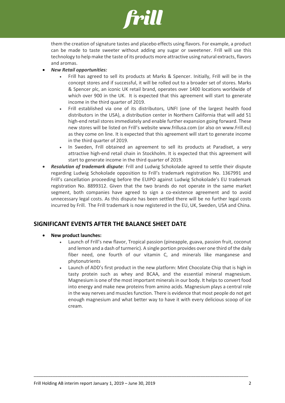

them the creation of signature tastes and placebo effects using flavors. For example, a product can be made to taste sweeter without adding any sugar or sweetener. Frill will use this technology to help make the taste of its products more attractive using natural extracts, flavors and aromas.

- *New Retail opportunities:* 
	- Frill has agreed to sell its products at Marks & Spencer. Initially, Frill will be in the concept stores and if successful, it will be rolled out to a broader set of stores. Marks & Spencer plc, an iconic UK retail brand, operates over 1400 locations worldwide of which over 900 in the UK. It is expected that this agreement will start to generate income in the third quarter of 2019.
	- Frill established via one of its distributors, UNFI (one of the largest health food distributors in the USA), a distribution center in Northern California that will add 51 high-end retail stores immediately and enable further expansion going forward. These new stores will be listed on Frill's website [www.frillusa.com](http://www.frillusa.com/) (or also on [www.Frill.eu\)](http://www.frill.eu/) as they come on line. It is expected that this agreement will start to generate income in the third quarter of 2019.
	- In Sweden, Frill obtained an agreement to sell its products at Paradiset, a very attractive high-end retail chain in Stockholm. It is expected that this agreement will start to generate income in the third quarter of 2019.
- *Resolution of trademark dispute*: Frill and Ludwig Schokolade agreed to settle their dispute regarding Ludwig Schokolade opposition to Frill's trademark registration No. 1367991 and Frill's cancellation proceeding before the EUIPO against Ludwig Schokolade's EU trademark registration No. 8899312. Given that the two brands do not operate in the same market segment, both companies have agreed to sign a co-existence agreement and to avoid unnecessary legal costs. As this dispute has been settled there will be no further legal costs incurred by Frill. The Frill trademark is now registered in the EU, UK, Sweden, USA and China.

# **SIGNIFICANT EVENTS AFTER THE BALANCE SHEET DATE**

- **New product launches:**
	- Launch of Frill's new flavor, Tropical passion (pineapple, guava, passion fruit, coconut and lemon and a dash of turmeric). A single portion provides over one third of the daily fiber need, one fourth of our vitamin C, and minerals like manganese and phytonutrients
	- Launch of ADD's first product in the new platform: Mint Chocolate Chip that is high in tasty protein such as whey and BCAA, and the essential mineral magnesium. Magnesium is one of the most important minerals in our body. It helps to convert food into energy and make new proteins from amino acids. Magnesium plays a central role in the way nerves and muscles function. There is evidence that most people do not get enough magnesium and what better way to have it with every delicious scoop of ice cream.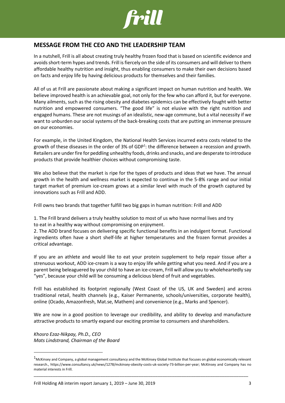

# **MESSAGE FROM THE CEO AND THE LEADERSHIP TEAM**

In a nutshell, Frill is all about creating truly healthy frozen food that is based on scientific evidence and avoids short-term hypes and trends. Frill is fiercely on the side of its consumers and will deliver to them affordable healthy nutrition and insight, thus enabling consumers to make their own decisions based on facts and enjoy life by having delicious products for themselves and their families.

All of us at Frill are passionate about making a significant impact on human nutrition and health. We believe improved health is an achievable goal, not only for the few who can afford it, but for everyone. Many ailments, such as the rising obesity and diabetes epidemics can be effectively fought with better nutrition and empowered consumers. "The good life" is not elusive with the right nutrition and engaged humans. These are not musings of an idealistic, new-age commune, but a vital necessity if we want to unburden our social systems of the back-breaking costs that are putting an immense pressure on our economies.

For example, in the United Kingdom, the National Health Services incurred extra costs related to the growth of these diseases in the order of 3% of GDP<sup>1</sup>: the difference between a recession and growth. Retailers are under fire for peddling unhealthy foods, drinks and snacks, and are desperate to introduce products that provide healthier choices without compromising taste.

We also believe that the market is ripe for the types of products and ideas that we have. The annual growth in the health and wellness market is expected to continue in the 5-8% range and our initial target market of premium ice-cream grows at a similar level with much of the growth captured by innovations such as Frill and ADD.

Frill owns two brands that together fulfill two big gaps in human nutrition: Frill and ADD

1. The Frill brand delivers a truly healthy solution to most of us who have normal lives and try to eat in a healthy way without compromising on enjoyment.

2. The ADD brand focuses on delivering specific functional benefits in an indulgent format. Functional ingredients often have a short shelf-life at higher temperatures and the frozen format provides a critical advantage.

If you are an athlete and would like to eat your protein supplement to help repair tissue after a strenuous workout, ADD ice-cream is a way to enjoy life while getting what you need. And if you are a parent being beleaguered by your child to have an ice-cream, Frill will allow you to wholeheartedly say "yes", because your child will be consuming a delicious blend of fruit and vegetables.

Frill has established its footprint regionally (West Coast of the US, UK and Sweden) and across traditional retail, health channels (e.g., Kaiser Permanente, schools/universities, corporate health), online (Ocado, Amazonfresh, Mat.se, Mathem) and convenience (e.g., Marks and Spencer).

We are now in a good position to leverage our credibility, and ability to develop and manufacture attractive products to smartly expand our exciting promise to consumers and shareholders.

*Khosro Ezaz-Nikpay, Ph.D., CEO Mats Lindstrand, Chairman of the Board*

 $1$ McKinsey and Company, a global management consultancy and the McKinsey Global Institute that focuses on global economically relevant research., https://www.consultancy.uk/news/1278/mckinsey-obesity-costs-uk-society-73-billion-per-year; McKinsey and Company has no material interests in Frill.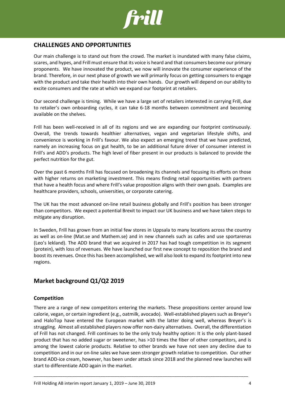

# **CHALLENGES AND OPPORTUNITIES**

Our main challenge is to stand out from the crowd. The market is inundated with many false claims, scares, and hypes, and Frill must ensure that its voice is heard and that consumers become our primary proponents. We have innovated the product, we now will innovate the consumer experience of the brand. Therefore, in our next phase of growth we will primarily focus on getting consumers to engage with the product and take their health into their own hands. Our growth will depend on our ability to excite consumers and the rate at which we expand our footprint at retailers.

Our second challenge is timing. While we have a large set of retailers interested in carrying Frill, due to retailer's own onboarding cycles, it can take 6-18 months between commitment and becoming available on the shelves.

Frill has been well-received in all of its regions and we are expanding our footprint continuously. Overall, the trends towards healthier alternatives, vegan and vegetarian lifestyle shifts, and convenience is working in Frill's favour. We also expect an emerging trend that we have predicted, namely an increasing focus on gut health, to be an additional future driver of consumer interest in Frill's and ADD's products. The high level of fiber present in our products is balanced to provide the perfect nutrition for the gut.

Over the past 6 months Frill has focused on broadening its channels and focusing its efforts on those with higher returns on marketing investment. This means finding retail opportunities with partners that have a health focus and where Frill's value proposition aligns with their own goals. Examples are healthcare providers, schools, universities, or corporate catering.

The UK has the most advanced on-line retail business globally and Frill's position has been stronger than competitors. We expect a potential Brexit to impact our UK business and we have taken steps to mitigate any disruption.

In Sweden, Frill has grown from an initial few stores in Uppsala to many locations across the country as well as on-line (Mat.se and Mathem.se) and in new channels such as cafes and use sportarenas (Leo's lekland). The ADD brand that we acquired in 2017 has had tough competition in its segment (protein), with loss of revenues. We have launched our first new concept to reposition the brand and boost its revenues. Once this has been accomplished, we will also look to expand its footprint into new regions.

# **Market background Q1/Q2 2019**

## **Competition**

There are a range of new competitors entering the markets. These propositions center around low calorie, vegan, or certain ingredient (e.g., oatmilk, avocado). Well-established players such as Breyer's and HaloTop have entered the European market with the latter doing well, whereas Breyer's is struggling. Almost all established players now offer non-dairy alternatives. Overall, the differentiation of Frill has not changed. Frill continues to be the only truly healthy option: It is the only plant-based product that has no added sugar or sweetener, has >10 times the fiber of other competitors, and is among the lowest calorie products. Relative to other brands we have not seen any decline due to competition and in our on-line sales we have seen stronger growth relative to competition. Our other brand ADD-ice cream, however, has been under attack since 2018 and the planned new launches will start to differentiate ADD again in the market.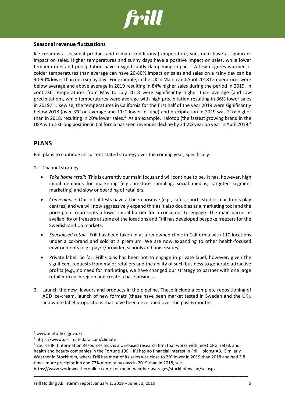

### **Seasonal revenue fluctuations**

Ice-cream is a seasonal product and climate conditions (temperature, sun, rain) have a significant impact on sales. Higher temperatures and sunny days have a positive impact on sales, while lower temperatures and precipitation have a significantly dampening impact. A few degrees warmer or colder temperatures than average can have 20-80% impact on sales and sales on a rainy day can be 40-90% lower than on a sunny day. For example, in the UK in March and April 2018 temperatures were below average and above average in 2019 resulting in 84% higher sales during the period in 2019. In contrast, temperatures from May to July 2018 were significantly higher than average (and low precipitation), while temperatures were average with high precipitation resulting in 36% lower sales in 2019.<sup>2</sup> Likewise, the temperatures in California for the first half of the year 2019 were significantly below 2018 (over  $3^{\circ}$ C on average and  $11^{\circ}$ C lower in June) and precipitation in 2019 was 2.7x higher than in 2018, resulting in 20% lower sales.<sup>3</sup> As an example, Halotop (the fastest growing brand in the USA with a strong position in California has seen revenues decline by 34.2% year on year in April 2019.<sup>4</sup>

# **PLANS**

Frill plans to continue its current stated strategy over the coming year, specifically:

- 1. Channel strategy
	- *Take home retail*: This is currently our main focus and will continue to be. It has, however, high initial demands for marketing (e.g., in-store sampling, social medias, targeted segment marketing) and slow onboarding of retailers.
	- *Convenience*: Our initial tests have all been positive (e.g., cafes, sports studios, children's play centres) and we will now aggressively expand this as it also doubles as a marketing tool and the price point represents a lower initial barrier for a consumer to engage. The main barrier is availability of freezers at some of the locations and Frill has developed bespoke freezers for the Swedish and US markets.
	- *Specialized retail*: Frill has been taken in at a renowned clinic in California with 110 locations under a co-brand and sold at a premium. We are now expanding to other health-focused environments (e.g., payor/provider, schools and universities).
	- Private label: So far, Frill's bias has been not to engage in private label, however, given the significant requests from major retailers and the ability of such business to generate attractive profits (e.g., no need for marketing), we have changed our strategy to partner with one large retailer in each region and create a base business.
- 2. Launch the new flavours and products in the pipeline. These include a complete repositioning of ADD ice-cream, launch of new formats (these have been market tested in Sweden and the UK), and white label propositions that have been developed over the past 6 months.

<sup>2</sup> www.metoffice.gov.uk/

<sup>3</sup> https://www.usclimatedata.com/climate

<sup>4</sup> Source IRI (Information Resources Inc), is a US-based research firm that works with most CPG, retail, and health and beauty companies in the Fortune 100 . IRI has no financial interest in Frill Holding AB. Similarly Weather in Stockholm, where Frill has most of its sales was close to  $2^{\circ}$ C lower in 2019 than 2018 and had 3.8 times more precipitation and 73% more rainy days in 2019 than in 2018, see

https://www.worldweatheronline.com/stockholm-weather-averages/stockholms-lan/se.aspx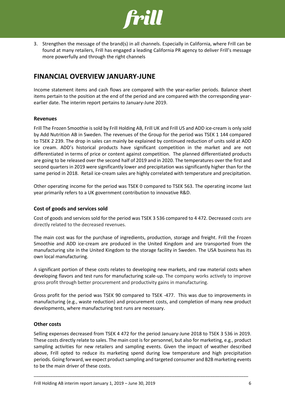

3. Strengthen the message of the brand(s) in all channels. Especially in California, where Frill can be found at many retailers, Frill has engaged a leading California PR agency to deliver Frill's message more powerfully and through the right channels

# **FINANCIAL OVERVIEW JANUARY-JUNE**

Income statement items and cash flows are compared with the year-earlier periods. Balance sheet items pertain to the position at the end of the period and are compared with the corresponding yearearlier date. The interim report pertains to January-June 2019.

### **Revenues**

Frill The Frozen Smoothie is sold by Frill Holding AB, Frill UK and Frill US and ADD ice-cream is only sold by Add Nutrition AB in Sweden. The revenues of the Group for the period was TSEK 1 144 compared to TSEK 2 239. The drop in sales can mainly be explained by continued reduction of units sold at ADD ice cream. ADD's historical products have significant competition in the market and are not differentiated in terms of price or content against competition. The planned differentiated products are going to be released over the second half of 2019 and in 2020. The temperatures over the first and second quarters in 2019 were significantly lower and precipitation was significantly higher than for the same period in 2018. Retail ice-cream sales are highly correlated with temperature and precipitation.

Other operating income for the period was TSEK 0 compared to TSEK 563. The operating income last year primarily refers to a UK government contribution to innovative R&D.

## **Cost of goods and services sold**

Cost of goods and services sold for the period was TSEK 3 536 compared to 4 472. Decreased costs are directly related to the decreased revenues.

The main cost was for the purchase of ingredients, production, storage and freight. Frill the Frozen Smoothie and ADD ice-cream are produced in the United Kingdom and are transported from the manufacturing site in the United Kingdom to the storage facility in Sweden. The USA business has its own local manufacturing.

A significant portion of these costs relates to developing new markets, and raw material costs when developing flavors and test runs for manufacturing scale-up. The company works actively to improve gross profit through better procurement and productivity gains in manufacturing.

Gross profit for the period was TSEK 90 compared to TSEK -477. This was due to improvements in manufacturing (e.g., waste reduction) and procurement costs, and completion of many new product developments, where manufacturing test runs are necessary.

### **Other costs**

Selling expenses decreased from TSEK 4 472 for the period January-June 2018 to TSEK 3 536 in 2019. These costs directly relate to sales. The main cost is for personnel, but also for marketing, e.g., product sampling activities for new retailers and sampling events. Given the impact of weather described above, Frill opted to reduce its marketing spend during low temperature and high precipitation periods. Going forward, we expect product sampling and targeted consumer and B2B marketing events to be the main driver of these costs.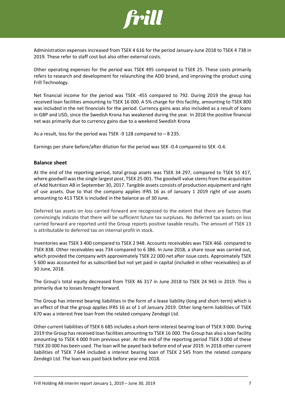

Administration expenses increased from TSEK 4 616 for the period January-June 2018 to TSEK 4 738 in 2019. These refer to staff cost but also other external costs.

Other operating expenses for the period was TSEK 495 compared to TSEK 25. These costs primarily refers to research and development for relaunching the ADD brand, and improving the product using Frill Technology.

Net financial income for the period was TSEK -455 compared to 792. During 2019 the group has received loan facilities amounting to TSEK 16 000. A 5% charge for this facility, amounting to TSEK 800 was included in the net financials for the period. Currency gains was also included as a result of loans in GBP and USD, since the Swedish Krona has weakened during the year. In 2018 the positive financial net was primarily due to currency gains due to a weekend Swedish Krona

As a result, loss for the period was TSEK -9 128 compared to – 8 235.

Earnings per share before/after dilution for the period was SEK -0.4 compared to SEK -0.4.

### **Balance sheet**

At the end of the reporting period, total group assets was TSEK 34 297, compared to TSEK 55 417, where goodwill wasthe single largest post, TSEK 25 001. The goodwill value stems from the acquisition of Add Nutrition AB in September 30, 2017. Tangible assets consists of production equipment and right of use assets. Due to that the company applies IFRS 16 as of January 1 2019 right of use assets amounting to 413 TSEK is included in the balance as of 30 June.

Deferred tax assets on loss carried forward are recognized to the extent that there are factors that convincingly indicate that there will be sufficient future tax surpluses. No deferred tax assets on loss carried forward are reported until the Group reports positive taxable results. The amount of TSEK 13 is attributable to deferred tax on internal profit in stock.

Inventories was TSEK 3 400 compared to TSEK 2 948. Accounts receivables was TSEK 466 compared to TSEK 838. Other receivables was 734 compared to 6 386. In June 2018, a share issue was carried out, which provided the company with approximately TSEK 22 000 net after issue costs. Approimately TSEK 5 600 was accounted for as subscribed but not yet paid in capital (included in other receivables) as of 30 June, 2018.

The Group's total equity decreased from TSEK 46 317 in June 2018 to TSEK 24 943 in 2019. This is primarily due to losses brought forward.

The Group has interest bearing liabilities in the form of a lease liability (long and short-term) which is an effect of that the group applies IFRS 16 as of 1 of January 2019. Other long-term liabilities of TSEK 670 was a interest free loan from the related company Zendegii Ltd.

Other current liabilities of TSEK 6 685 includes a short-term interest bearing loan of TSEK 3 000. During 2019 the Group has received loan facilities amounting to TSEK 16 000. The Group has also a loan facility amounting to TSEK 4 000 from previous year. At the end of the reporting period TSEK 3 000 of these TSEK 20 000 has been used. The loan will be payed back before end of year 2019. In 2018 other current liabilities of TSEK 7 644 included a interest bearing loan of TSEK 2 545 from the related company Zendegii Ltd. The loan was paid back before year end 2018.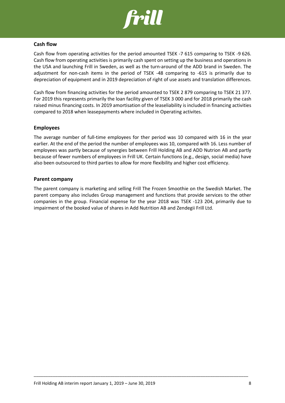

#### **Cash flow**

Cash flow from operating activities for the period amounted TSEK -7 615 comparing to TSEK -9 626. Cash flow from operating activities is primarily cash spent on setting up the business and operations in the USA and launching Frill in Sweden, as well as the turn-around of the ADD brand in Sweden. The adjustment for non-cash items in the period of TSEK -48 comparing to -615 is primarily due to depreciation of equipment and in 2019 depreciation of right of use assets and translation differences.

Cash flow from financing activities for the period amounted to TSEK 2 879 comparing to TSEK 21 377. For 2019 this represents primarily the loan facility given of TSEK 3 000 and for 2018 primarily the cash raised minus financing costs. In 2019 amortisation of the leaseliability is included in financing activities compared to 2018 when leasepayments where included in Operating activites.

#### **Employees**

The average number of full-time employees for ther period was 10 compared with 16 in the year earlier. At the end of the period the number of employees was 10, compared with 16. Less number of employees was partly because of synergies between Frill Holding AB and ADD Nutrion AB and partly because of fewer numbers of employees in Frill UK. Certain functions (e.g., design, social media) have also been outsourced to third parties to allow for more flexibility and higher cost efficiency.

#### **Parent company**

The parent company is marketing and selling Frill The Frozen Smoothie on the Swedish Market. The parent company also includes Group management and functions that provide services to the other companies in the group. Financial expense for the year 2018 was TSEK -123 204, primarily due to impairment of the booked value of shares in Add Nutrition AB and Zendegii Frill Ltd.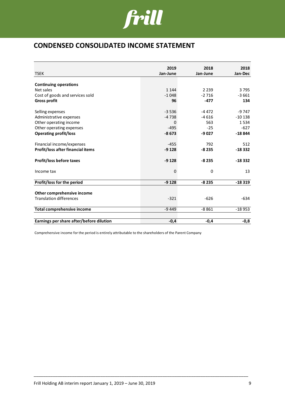

# **CONDENSED CONSOLIDATED INCOME STATEMENT**

|                                          | 2019     | 2018     |                 |
|------------------------------------------|----------|----------|-----------------|
| <b>TSEK</b>                              | Jan-June | Jan-June | 2018<br>Jan-Dec |
|                                          |          |          |                 |
| <b>Continuing operations</b>             |          |          |                 |
| Net sales                                | 1 1 4 4  | 2 2 3 9  | 3795            |
| Cost of goods and services sold          | $-1048$  | $-2716$  | $-3661$         |
| <b>Gross profit</b>                      | 96       | $-477$   | 134             |
|                                          |          |          |                 |
| Selling expenses                         | $-3536$  | $-4472$  | $-9747$         |
| Administrative expenses                  | $-4738$  | $-4616$  | $-10138$        |
| Other operating income                   | 0        | 563      | 1534            |
| Other operating expenses                 | $-495$   | $-25$    | $-627$          |
| <b>Operating profit/loss</b>             | $-8673$  | $-9027$  | $-18844$        |
|                                          |          |          |                 |
| Financial income/expenses                | $-455$   | 792      | 512             |
| Profit/loss after financial items        | $-9128$  | $-8235$  | $-18332$        |
|                                          |          |          |                 |
| <b>Profit/loss before taxes</b>          | $-9128$  | $-8235$  | $-18332$        |
| Income tax                               | 0        | 0        | 13              |
|                                          |          |          |                 |
| Profit/loss for the period               | $-9128$  | $-8235$  | $-18319$        |
|                                          |          |          |                 |
| Other comprehensive income               |          |          |                 |
| <b>Translation differences</b>           | $-321$   | $-626$   | $-634$          |
|                                          |          |          |                 |
| <b>Total comprehensive income</b>        | $-9449$  | $-8861$  | $-18953$        |
|                                          |          |          |                 |
| Earnings per share after/before dilution | $-0,4$   | $-0,4$   | $-0,8$          |

\_\_\_\_\_\_\_\_\_\_\_\_\_\_\_\_\_\_\_\_\_\_\_\_\_\_\_\_\_\_\_\_\_\_\_\_\_\_\_\_\_\_\_\_\_\_\_\_\_\_\_\_\_\_\_\_\_\_\_\_\_\_\_\_\_\_\_\_\_\_\_\_\_\_\_\_\_\_\_\_\_\_\_\_\_\_\_\_\_\_

Comprehensive income for the period is entirely attributable to the shareholders of the Parent Company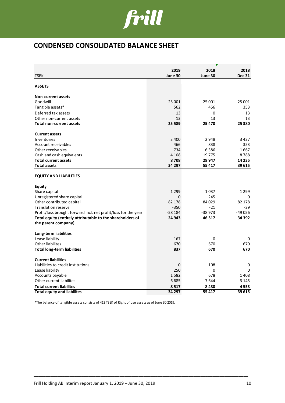

# **CONDENSED CONSOLIDATED BALANCE SHEET**

|                                                                | 2019     | 2018     | 2018          |
|----------------------------------------------------------------|----------|----------|---------------|
| <b>TSEK</b>                                                    | June 30  | June 30  | <b>Dec 31</b> |
|                                                                |          |          |               |
| <b>ASSETS</b>                                                  |          |          |               |
| <b>Non-current assets</b>                                      |          |          |               |
| Goodwill                                                       | 25 001   | 25 001   | 25 001        |
| Tangible assets*                                               | 562      | 456      | 353           |
| Deferred tax assets                                            | 13       | 0        | 13            |
| Other non-current assets                                       | 13       | 13       | 13            |
| <b>Total non-current assets</b>                                | 25 5 89  | 25 470   | 25 3 80       |
| <b>Current assets</b>                                          |          |          |               |
| Inventories                                                    | 3 4 0 0  | 2948     | 3 4 2 7       |
| Account receivables                                            | 466      | 838      | 353           |
| Other receivables                                              | 734      | 6386     | 1667          |
| Cash and cash equivalents                                      | 4 1 0 8  | 19775    | 8788          |
| <b>Total current assets</b>                                    | 8708     | 29 947   | 14 2 35       |
| <b>Total assets</b>                                            | 34 297   | 55 417   | 39 615        |
| <b>EQUITY AND LIABILITIES</b>                                  |          |          |               |
| <b>Equity</b>                                                  |          |          |               |
| Share capital                                                  | 1 2 9 9  | 1037     | 1 2 9 9       |
| Unregistered share capital                                     | 0        | 245      | $\Omega$      |
| Other contributed capital                                      | 82 178   | 84 0 29  | 82 178        |
| <b>Translation reserve</b>                                     | $-350$   | $-21$    | -29           |
| Profit/loss brought forward incl. net profit/loss for the year | $-58184$ | $-38973$ | $-49056$      |
| Total equity (entirely attributable to the shareholders of     | 24 943   | 46 317   | 34 392        |
| the parent company)                                            |          |          |               |
| Long-term liabilities                                          |          |          |               |
| Lease liability                                                | 167      | 0        | 0             |
| Other liabilites                                               | 670      | 670      | 670           |
| <b>Total long-term liabilities</b>                             | 837      | 670      | 670           |
| <b>Current liabilities</b>                                     |          |          |               |
| Liabilities to credit institutions                             | 0        | 108      | 0             |
| Lease liability                                                | 250      | 0        | 0             |
| Accounts payable                                               | 1582     | 678      | 1408          |
| Other current liabilites                                       | 6685     | 7644     | 3 1 4 5       |
| <b>Total current liabilites</b>                                | 8517     | 8430     | 4553          |
| <b>Total equity and liabilites</b>                             | 34 297   | 55 417   | 39 615        |

\_\_\_\_\_\_\_\_\_\_\_\_\_\_\_\_\_\_\_\_\_\_\_\_\_\_\_\_\_\_\_\_\_\_\_\_\_\_\_\_\_\_\_\_\_\_\_\_\_\_\_\_\_\_\_\_\_\_\_\_\_\_\_\_\_\_\_\_\_\_\_\_\_\_\_\_\_\_\_\_\_\_\_\_\_\_\_\_\_\_

\*The balance of tangible assets consists of 413 TSEK of Right of use assets as of June 30 2019.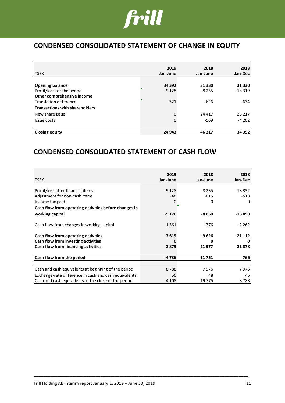

# **CONDENSED CONSOLIDATED STATEMENT OF CHANGE IN EQUITY**

|                                       | 2019     | 2018     | 2018     |
|---------------------------------------|----------|----------|----------|
| <b>TSEK</b>                           | Jan-June | Jan-June | Jan-Dec  |
|                                       |          |          |          |
| <b>Opening balance</b>                | 34 392   | 31 330   | 31 330   |
| Profit/loss for the period            | $-9128$  | $-8235$  | $-18319$ |
| Other comprehensive income            |          |          |          |
| Translation difference                | $-321$   | $-626$   | -634     |
| <b>Transactions with shareholders</b> |          |          |          |
| New share issue                       | 0        | 24 4 17  | 26 217   |
| Issue costs                           | 0        | -569     | $-4202$  |
| <b>Closing equity</b>                 | 24 943   | 46 317   | 34 392   |

# **CONDENSED CONSOLIDATED STATEMENT OF CASH FLOW**

|                                                       | 2019     | 2018     | 2018     |
|-------------------------------------------------------|----------|----------|----------|
| <b>TSEK</b>                                           | Jan-June | Jan-June | Jan-Dec  |
|                                                       |          |          |          |
| Profit/loss after financial items                     | $-9128$  | $-8235$  | $-18332$ |
| Adjustment for non-cash items                         | -48      | $-615$   | $-518$   |
| Income tax paid                                       | 0        | 0        | $\Omega$ |
| Cash flow from operating activities before changes in |          |          |          |
| working capital                                       | $-9176$  | -8 850   | $-18850$ |
|                                                       |          |          |          |
| Cash flow from changes in working capital             | 1561     | -776     | $-2262$  |
| Cash flow from operating activities                   | $-7615$  | $-9626$  | $-21112$ |
| Cash flow from investing activities                   | O        | n        | n        |
| Cash flow from financing activities                   | 2879     | 21 377   | 21878    |
|                                                       |          |          |          |
| Cash flow from the period                             | $-4736$  | 11751    | 766      |
|                                                       |          |          |          |
| Cash and cash equivalents at beginning of the period  | 8788     | 7976     | 7976     |
| Exchange-rate difference in cash and cash equivalents | 56       | 48       | 46       |
| Cash and cash equivalents at the close of the period  | 4 1 0 8  | 19 775   | 8788     |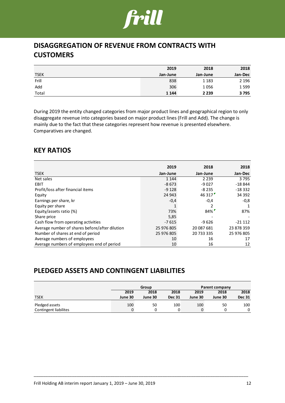

# **DISAGGREGATION OF REVENUE FROM CONTRACTS WITH CUSTOMERS**

|             | 2019     | 2018     | 2018    |
|-------------|----------|----------|---------|
| <b>TSEK</b> | Jan-June | Jan-June | Jan-Dec |
| Frill       | 838      | 1 1 8 3  | 2 1 9 6 |
| Add         | 306      | 1056     | 1599    |
| Total       | 1 1 4 4  | 2 2 3 9  | 3795    |

During 2019 the entity changed categories from major product lines and geographical region to only disaggregate revenue into categories based on major product lines (Frill and Add). The change is mainly due to the fact that these categories represent how revenue is presented elsewhere. Comparatives are changed.

# **KEY RATIOS**

|                                                | 2019       | 2018       | 2018       |
|------------------------------------------------|------------|------------|------------|
| <b>TSEK</b>                                    | Jan-June   | Jan-June   | Jan-Dec    |
| Net sales                                      | 1 1 4 4    | 2 2 3 9    | 3795       |
| <b>EBIT</b>                                    | $-8673$    | $-9027$    | $-18844$   |
| Profit/loss after financial items              | $-9128$    | $-8235$    | $-18332$   |
| Equity                                         | 24 943     | 46 317     | 34 392     |
| Earnings per share, kr                         | $-0,4$     | $-0.4$     | $-0,8$     |
| Equity per share                               |            |            |            |
| Equity/assets ratio (%)                        | 73%        | 84%        | 87%        |
| Share price                                    | 5,85       |            |            |
| Cash flow from operating activities            | $-7615$    | $-9626$    | $-21112$   |
| Average number of shares before/after dilution | 25 976 805 | 20 087 681 | 23 878 359 |
| Number of shares at end of period              | 25 976 805 | 20 733 335 | 25 976 805 |
| Average numbers of employees                   | 10         | 16         | 17         |
| Average numbers of employees end of period     | 10         | 16         | 12         |

# **PLEDGED ASSETS AND CONTINGENT LIABILITIES**

|                              | Group   |         |               | Parent company |         |               |  |
|------------------------------|---------|---------|---------------|----------------|---------|---------------|--|
|                              | 2019    | 2018    | 2018          | 2019           | 2018    | 2018          |  |
| <b>TSEK</b>                  | June 30 | June 30 | <b>Dec 31</b> | June 30        | June 30 | <b>Dec 31</b> |  |
| Pledged assets               | 100     | 50      | 100           | 100            | 50      | 100           |  |
| <b>Contingent liabilites</b> |         |         |               |                |         | 0             |  |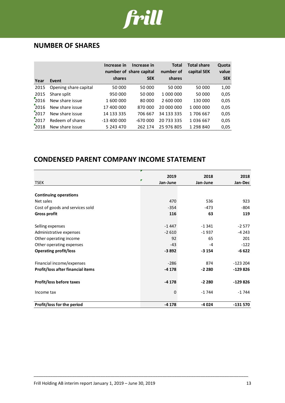

# **NUMBER OF SHARES**

| Year               | Event                 | Increase in<br>shares | Increase in<br>number of share capital<br><b>SEK</b> | <b>Total</b><br>number of<br>shares | <b>Total share</b><br>capital SEK | Quota<br>value<br><b>SEK</b> |
|--------------------|-----------------------|-----------------------|------------------------------------------------------|-------------------------------------|-----------------------------------|------------------------------|
| 2015               | Opening share capital | 50 000                | 50 000                                               | 50 000                              | 50 000                            | 1,00                         |
| 2015               | Share split           | 950 000               | 50 000                                               | 1 000 000                           | 50 000                            | 0,05                         |
| 2016               | New share issue       | 1 600 000             | 80 000                                               | 2 600 000                           | 130 000                           | 0,05                         |
| $\frac{1}{2}$ 2016 | New share issue       | 17 400 000            | 870 000                                              | 20 000 000                          | 1 000 000                         | 0,05                         |
| $\frac{1}{2}$ 017  | New share issue       | 14 133 335            | 706 667                                              | 34 133 335                          | 1706 667                          | 0,05                         |
| 2017               | Redeem of shares      | $-13400000$           | $-670000$                                            | 20 733 335                          | 1036667                           | 0,05                         |
| 2018               | New share issue       | 5 243 470             | 262 174                                              | 25 976 805                          | 1 298 840                         | 0,05                         |

# **CONDENSED PARENT COMPANY INCOME STATEMENT**

|                                   | 2019<br>F   | 2018     | 2018      |
|-----------------------------------|-------------|----------|-----------|
| <b>TSEK</b>                       | Jan-June    | Jan-June | Jan-Dec   |
|                                   |             |          |           |
| <b>Continuing operations</b>      |             |          |           |
| Net sales                         | 470         | 536      | 923       |
| Cost of goods and services sold   | $-354$      | $-473$   | $-804$    |
| <b>Gross profit</b>               | 116         | 63       | 119       |
|                                   |             |          |           |
| Selling expenses                  | $-1447$     | $-1341$  | $-2577$   |
| Administrative expenses           | $-2610$     | $-1937$  | $-4243$   |
| Other operating income            | 92          | 65       | 201       |
| Other operating expenses          | $-43$       | -4       | $-122$    |
| <b>Operating profit/loss</b>      | $-3892$     | $-3154$  | $-6622$   |
|                                   |             |          |           |
| Financial income/expenses         | $-286$      | 874      | $-123204$ |
| Profit/loss after financial items | $-4178$     | $-2280$  | $-129826$ |
|                                   |             |          |           |
| Profit/loss before taxes          | $-4178$     | $-2280$  | $-129826$ |
| Income tax                        | $\mathbf 0$ | $-1744$  | $-1744$   |
| Profit/loss for the period        | $-4178$     | $-4024$  | $-131570$ |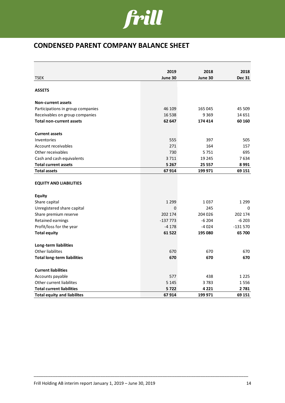

# **CONDENSED PARENT COMPANY BALANCE SHEET**

|                                    | 2019      | 2018    | 2018          |
|------------------------------------|-----------|---------|---------------|
| <b>TSEK</b>                        | June 30   | June 30 | <b>Dec 31</b> |
|                                    |           |         |               |
| <b>ASSETS</b>                      |           |         |               |
| <b>Non-current assets</b>          |           |         |               |
| Participations in group companies  | 46 109    | 165 045 | 45 509        |
| Receivables on group companies     | 16 5 38   | 9 3 6 9 | 14 651        |
| <b>Total non-current assets</b>    | 62 647    | 174 414 | 60 160        |
| <b>Current assets</b>              |           |         |               |
| Inventories                        | 555       | 397     | 505           |
| Account receivables                | 271       | 164     | 157           |
| Other receivables                  | 730       | 5751    | 695           |
| Cash and cash equivalents          | 3711      | 19 245  | 7634          |
| <b>Total current assets</b>        | 5 2 6 7   | 25 557  | 8991          |
| <b>Total assets</b>                | 67914     | 199 971 | 69 151        |
| <b>EQUITY AND LIABILITIES</b>      |           |         |               |
| <b>Equity</b>                      |           |         |               |
| Share capital                      | 1 2 9 9   | 1037    | 1 2 9 9       |
| Unregistered share capital         | 0         | 245     | 0             |
| Share premium reserve              | 202 174   | 204 026 | 202 174       |
| Retained earnings                  | $-137773$ | $-6204$ | $-6203$       |
| Profit/loss for the year           | -4 178    | -4024   | $-131570$     |
| <b>Total equity</b>                | 61 522    | 195 080 | 65 700        |
| Long-term liabilities              |           |         |               |
| <b>Other liabilites</b>            | 670       | 670     | 670           |
| <b>Total long-term liabilities</b> | 670       | 670     | 670           |
| <b>Current liabilities</b>         |           |         |               |
| Accounts payable                   | 577       | 438     | 1 2 2 5       |
| Other current liabilites           | 5 1 4 5   | 3783    | 1556          |
| <b>Total current liabilities</b>   | 5722      | 4 2 2 1 | 2 781         |
| <b>Total equity and liabilites</b> | 67914     | 199 971 | 69 151        |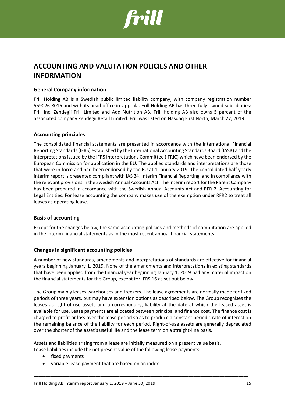

# **ACCOUNTING AND VALUTATION POLICIES AND OTHER INFORMATION**

## **General Company information**

Frill Holding AB is a Swedish public limited liability company, with company registration number 559026-8016 and with its head office in Uppsala. Frill Holding AB has three fully owned subsidiaries: Frill Inc, Zendegii Frill Limited and Add Nutrition AB. Frill Holding AB also owns 5 percent of the associated company Zendegii Retail Limited. Frill was listed on Nasdaq First North, March 27, 2019.

### **Accounting principles**

The consolidated financial statements are presented in accordance with the International Financial Reporting Standards (IFRS) established by the International Accounting Standards Board (IASB) and the interpretations issued by the IFRS Interpretations Committee (IFRIC) which have been endorsed by the European Commission for application in the EU. The applied standards and interpretations are those that were in force and had been endorsed by the EU at 1 January 2019. The consolidated half-yearly interim report is presented compliant with IAS 34, Interim Financial Reporting, and in compliance with the relevant provisions in the Swedish Annual Accounts Act. The interim report for the Parent Company has been prepared in accordance with the Swedish Annual Accounts Act and RFR 2, Accounting for Legal Entities. For lease accounting the company makes use of the exemption under RFR2 to treat all leases as operating lease.

### **Basis of accounting**

Except for the changes below, the same accounting policies and methods of computation are applied in the interim financial statements as in the most recent annual financial statements.

### **Changes in significant accounting policies**

A number of new standards, amendments and interpretations of standards are effective for financial years beginning January 1, 2019. None of the amendments and interpretations in existing standards that have been applied from the financial year beginning January 1, 2019 had any material impact on the financial statements for the Group, except for IFRS 16 as set out below.

The Group mainly leases warehouses and freezers. The lease agreements are normally made for fixed periods of three years, but may have extension options as described below. The Group recognises the leases as right-of-use assets and a corresponding liability at the date at which the leased asset is available for use. Lease payments are allocated between principal and finance cost. The finance cost is charged to profit or loss over the lease period so as to produce a constant periodic rate of interest on the remaining balance of the liability for each period. Right-of-use assets are generally depreciated over the shorter of the asset's useful life and the lease term on a straight-line basis.

\_\_\_\_\_\_\_\_\_\_\_\_\_\_\_\_\_\_\_\_\_\_\_\_\_\_\_\_\_\_\_\_\_\_\_\_\_\_\_\_\_\_\_\_\_\_\_\_\_\_\_\_\_\_\_\_\_\_\_\_\_\_\_\_\_\_\_\_\_\_\_\_\_\_\_\_\_\_\_\_\_\_\_\_\_\_\_\_\_\_

Assets and liabilities arising from a lease are initially measured on a present value basis. Lease liabilities include the net present value of the following lease payments:

- fixed payments
- variable lease payment that are based on an index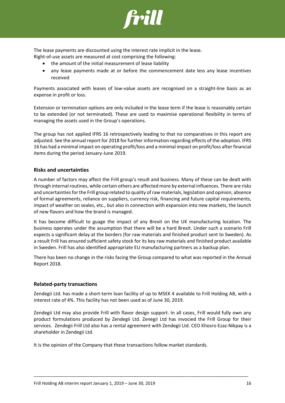

The lease payments are discounted using the interest rate implicit in the lease.

- Right-of-use assets are measured at cost comprising the following:
	- the amount of the initial measurement of lease liability
	- any lease payments made at or before the commencement date less any lease incentives received

Payments associated with leases of low-value assets are recognised on a straight-line basis as an expense in profit or loss.

Extension or termination options are only included in the lease term if the lease is reasonably certain to be extended (or not terminated). These are used to maximise operational flexibility in terms of managing the assets used in the Group's operations.

The group has not applied IFRS 16 retrospectively leading to that no comparatives in this report are adjusted. See the annual report for 2018 for further information regarding effects of the adoption. IFRS 16 has had a minimal impact on operating profit/loss and a minimal impact on profit/loss after financial items during the period January-June 2019.

## **Risks and uncertainties**

A number of factors may affect the Frill group's result and business. Many of these can be dealt with through internal routines, while certain others are affected more by external influences. There are risks and uncertainties for the Frill group related to quality of raw materials, legislation and opinion, absence of formal agreements, reliance on suppliers, currency risk, financing and future capital requirements, impact of weather on seales, etc., but also in connection with expansion into new markets, the launch of new flavors and how the brand is managed.

It has become difficult to guage the impact of any Brexit on the UK manufacturing location. The business operates under the assumption that there will be a hard Brexit. Under such a scenario Frill expects a significant delay at the borders (for raw materials and finished product sent to Sweden). As a result Frill has ensured sufficient safety stock for its key raw materials and finished product available in Sweden. Frill has also identified appropriate EU manufacturing partners as a backup plan.

There has been no change in the risks facing the Group compared to what was reported in the Annual Report 2018.

### **Related-party transactions**

Zendegii Ltd. has made a short-term loan facility of up to MSEK 4 available to Frill Holding AB, with a interest rate of 4%. This facility has not been used as of June 30, 2019.

Zendegii Ltd may also provide Frill with flavor design support. In all cases, Frill would fully own any product formulations produced by Zendegii Ltd. Zenegii Ltd has invocied the Frill Group for their services. Zendegii Frill Ltd also has a rental agreement with Zendegii Ltd. CEO Khosro Ezaz-Nikpay is a shareholder in Zendegii Ltd.

\_\_\_\_\_\_\_\_\_\_\_\_\_\_\_\_\_\_\_\_\_\_\_\_\_\_\_\_\_\_\_\_\_\_\_\_\_\_\_\_\_\_\_\_\_\_\_\_\_\_\_\_\_\_\_\_\_\_\_\_\_\_\_\_\_\_\_\_\_\_\_\_\_\_\_\_\_\_\_\_\_\_\_\_\_\_\_\_\_\_

It is the opinion of the Company that these transactions follow market standards.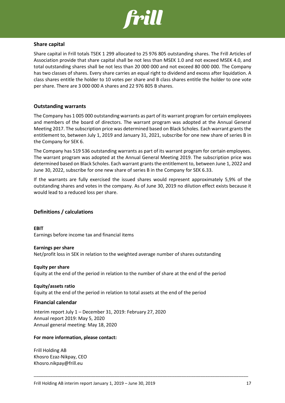

#### **Share capital**

Share capital in Frill totals TSEK 1 299 allocated to 25 976 805 outstanding shares. The Frill Articles of Association provide that share capital shall be not less than MSEK 1.0 and not exceed MSEK 4.0, and total outstanding shares shall be not less than 20 000 000 and not exceed 80 000 000. The Company has two classes of shares. Every share carries an equal right to dividend and excess after liquidation. A class shares entitle the holder to 10 votes per share and B class shares entitle the holder to one vote per share. There are 3 000 000 A shares and 22 976 805 B shares.

#### **Outstanding warrants**

The Company has 1 005 000 outstanding warrants as part of its warrant program for certain employees and members of the board of directors. The warrant program was adopted at the Annual General Meeting 2017. The subscription price was determined based on Black Scholes. Each warrant grants the entitlement to, between July 1, 2019 and January 31, 2021, subscribe for one new share of series B in the Company for SEK 6.

The Company has 519 536 outstanding warrants as part of its warrant program for certain employees. The warrant program was adopted at the Annual General Meeting 2019. The subscription price was determined based on Black Scholes. Each warrant grants the entitlement to, between June 1, 2022 and June 30, 2022, subscribe for one new share of series B in the Company for SEK 6.33.

If the warrants are fully exercised the issued shares would represent approximately 5,9% of the outstanding shares and votes in the company. As of June 30, 2019 no dilution effect exists because it would lead to a reduced loss per share.

### **Definitions / calculations**

**EBIT** Earnings before income tax and financial items

### **Earnings per share** Net/profit loss in SEK in relation to the weighted average number of shares outstanding

### **Equity per share** Equity at the end of the period in relation to the number of share at the end of the period

\_\_\_\_\_\_\_\_\_\_\_\_\_\_\_\_\_\_\_\_\_\_\_\_\_\_\_\_\_\_\_\_\_\_\_\_\_\_\_\_\_\_\_\_\_\_\_\_\_\_\_\_\_\_\_\_\_\_\_\_\_\_\_\_\_\_\_\_\_\_\_\_\_\_\_\_\_\_\_\_\_\_\_\_\_\_\_\_\_\_

#### **Equity/assets ratio** Equity at the end of the period in relation to total assets at the end of the period

# **Financial calendar**

Interim report July 1 – December 31, 2019: February 27, 2020 Annual report 2019: May 5, 2020 Annual general meeting: May 18, 2020

#### **For more information, please contact:**

Frill Holding AB Khosro Ezaz-Nikpay, CEO Khosro.nikpay@frill.eu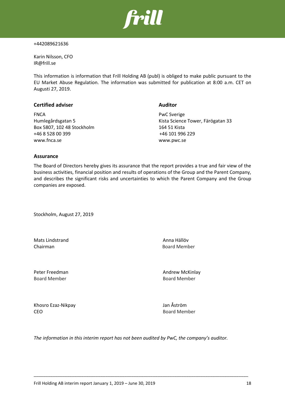

#### +442089621636

Karin Nilsson, CFO IR@frill.se

This information is information that Frill Holding AB (publ) is obliged to make public pursuant to the EU Market Abuse Regulation. The information was submitted for publication at 8:00 a.m. CET on Augusti 27, 2019.

| <b>Certified adviser</b>   | <b>Auditor</b>                    |
|----------------------------|-----------------------------------|
| <b>FNCA</b>                | <b>PwC Sverige</b>                |
| Humlegårdsgatan 5          | Kista Science Tower, Färögatan 33 |
| Box 5807, 102 48 Stockholm | 164 51 Kista                      |
| +46 8 528 00 399           | +46 101 996 229                   |
| www.fnca.se                | www.pwc.se                        |

### **Assurance**

The Board of Directors hereby gives its assurance that the report provides a true and fair view of the business activities, financial position and results of operations of the Group and the Parent Company, and describes the significant risks and uncertainties to which the Parent Company and the Group companies are exposed.

Stockholm, August 27, 2019

Mats Lindstrand **Anna Hällöv** Chairman **Board Member** 

Board Member Board Member

Peter Freedman **Andrew McKinlay** 

Khosro Ezaz-Nikpay Jan Åström CEO Board Member

*The information in this interim report has not been audited by PwC, the company's auditor.*